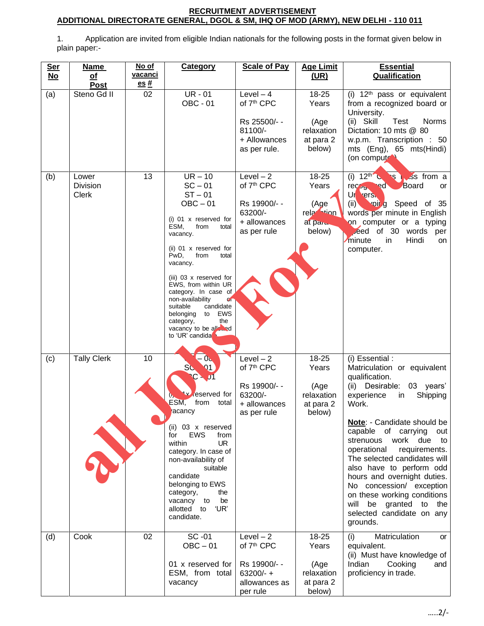## **RECRUITMENT ADVERTISEMENT ADDITIONAL DIRECTORATE GENERAL, DGOL & SM, IHQ OF MOD (ARMY), NEW DELHI - 110 011**

1. Application are invited from eligible Indian nationals for the following posts in the format given below in plain paper:-

| <b>Ser</b><br>$No$ | <b>Name</b><br>of<br>Post         | No of<br><u>vacanci</u><br>$es#$ | <b>Category</b>                                                                                                                                                                                                                                                                                                                                                                                                        | <b>Scale of Pay</b>                                                                             | <b>Age Limit</b><br>(UR)                                              | <b>Essential</b><br><b>Qualification</b>                                                                                                                                                                                                                                                                                                                                                                                                                                                          |
|--------------------|-----------------------------------|----------------------------------|------------------------------------------------------------------------------------------------------------------------------------------------------------------------------------------------------------------------------------------------------------------------------------------------------------------------------------------------------------------------------------------------------------------------|-------------------------------------------------------------------------------------------------|-----------------------------------------------------------------------|---------------------------------------------------------------------------------------------------------------------------------------------------------------------------------------------------------------------------------------------------------------------------------------------------------------------------------------------------------------------------------------------------------------------------------------------------------------------------------------------------|
| (a)                | Steno Gd II                       | 02                               | $UR - 01$<br><b>OBC - 01</b>                                                                                                                                                                                                                                                                                                                                                                                           | Level $-4$<br>of 7 <sup>th</sup> CPC<br>Rs 25500/- -<br>81100/-<br>+ Allowances<br>as per rule. | 18-25<br>Years<br>(Age<br>relaxation<br>at para 2<br>below)           | (i) $12th$ pass or equivalent<br>from a recognized board or<br>University.<br>(ii) Skill<br>Test<br><b>Norms</b><br>Dictation: 10 mts @ 80<br>w.p.m. Transcription : 50<br>mts (Eng), 65 mts(Hindi)<br>(on compute)                                                                                                                                                                                                                                                                               |
| (b)                | Lower<br><b>Division</b><br>Clerk | 13                               | $UR - 10$<br>$SC - 01$<br>$ST - 01$<br>$OBC - 01$<br>$(i)$ 01 x reserved for<br>ESM,<br>from<br>total<br>vacancy.<br>(ii) 01 x reserved for<br>PwD,<br>from<br>total<br>vacancy.<br>(iii) 03 x reserved for<br>EWS, from within UR<br>category. In case of<br>non-availability<br>$C_{\mathbb{F}}$<br>suitable<br>candidate<br>EWS<br>belonging<br>to<br>category,<br>the<br>vacancy to be alleged<br>to 'UR' candida' | $Level-2$<br>of 7 <sup>th</sup> CPC<br>Rs 19900/--<br>63200/-<br>+ allowances<br>as per rule    | 18-25<br>Years<br>(Age<br>rela <sup>1</sup> tion<br>at paru<br>below) | (i) $12^{\text{th}}$<br>s is from a<br>Board<br>rec <sub>25</sub><br>ed.<br>or<br>Ur ers.<br>voir g Speed of 35<br>(ii)<br>words per minute in English<br>on computer or a typing<br>eed of 30 words<br>per<br>minute<br>Hindi<br>in<br>on<br>computer.                                                                                                                                                                                                                                           |
| (c)                | <b>Tally Clerk</b><br>X           | 10                               | - 0⊾<br>SC<br>$\Omega$ 1<br>L۷.<br>reserved for<br>ESM,<br>from<br>total<br>acancy<br>$(ii)$ 03 x reserved<br><b>EWS</b><br>for<br>from<br>within<br><b>UR</b><br>category. In case of<br>non-availability of<br>suitable<br>candidate<br>belonging to EWS<br>category,<br>the<br>vacancy to<br>be<br>'UR'<br>allotted to<br>candidate.                                                                                | $Level-2$<br>of 7 <sup>th</sup> CPC<br>Rs 19900/- -<br>63200/-<br>+ allowances<br>as per rule   | 18-25<br>Years<br>(Age<br>relaxation<br>at para 2<br>below)           | (i) Essential :<br>Matriculation or equivalent<br>qualification.<br>(ii) Desirable:<br>03 years'<br>Shipping<br>experience<br>in<br>Work.<br>Note: - Candidate should be<br>capable of carrying<br>out<br>strenuous<br>work<br>due<br>to<br>operational<br>requirements.<br>The selected candidates will<br>also have to perform odd<br>hours and overnight duties.<br>No concession/ exception<br>on these working conditions<br>will be granted to the<br>selected candidate on any<br>grounds. |
| (d)                | Cook                              | 02                               | SC-01<br>$OBC - 01$<br>01 x reserved for<br>ESM, from total<br>vacancy                                                                                                                                                                                                                                                                                                                                                 | $Level-2$<br>of 7 <sup>th</sup> CPC<br>Rs 19900/- -<br>$63200/- +$<br>allowances as<br>per rule | 18-25<br>Years<br>(Age<br>relaxation<br>at para 2<br>below)           | Matriculation<br>(i)<br>or<br>equivalent.<br>(ii) Must have knowledge of<br>Indian<br>Cooking<br>and<br>proficiency in trade.                                                                                                                                                                                                                                                                                                                                                                     |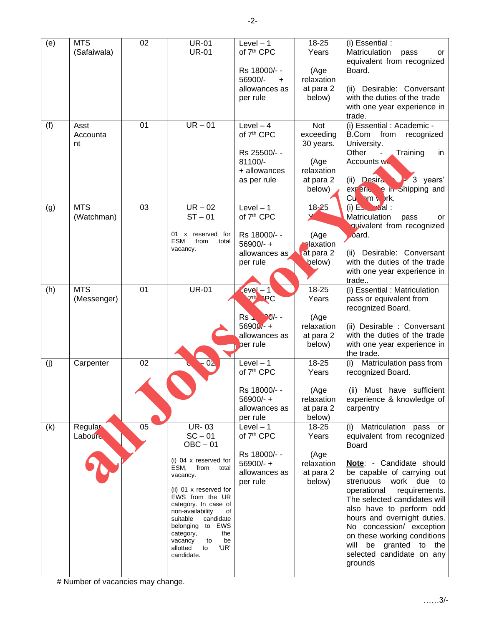| (e) | <b>MTS</b>       | 02              | <b>UR-01</b>                              | Level $-1$                           | 18-25                   | (i) Essential :                                               |
|-----|------------------|-----------------|-------------------------------------------|--------------------------------------|-------------------------|---------------------------------------------------------------|
|     | (Safaiwala)      |                 | <b>UR-01</b>                              | of 7 <sup>th</sup> CPC               | Years                   | Matriculation<br>pass<br>or<br>equivalent from recognized     |
|     |                  |                 |                                           | Rs 18000/--                          | (Age                    | Board.                                                        |
|     |                  |                 |                                           | 56900/-<br>$\ddot{}$                 | relaxation              |                                                               |
|     |                  |                 |                                           | allowances as<br>per rule            | at para 2<br>below)     | Desirable: Conversant<br>(ii)<br>with the duties of the trade |
|     |                  |                 |                                           |                                      |                         | with one year experience in                                   |
|     |                  |                 |                                           |                                      |                         | trade.                                                        |
| (f) | Asst<br>Accounta | 01              | $UR - 01$                                 | Level $-4$<br>of 7 <sup>th</sup> CPC | <b>Not</b><br>exceeding | (i) Essential : Academic -<br>B.Com from<br>recognized        |
|     | nt               |                 |                                           |                                      | 30 years.               | University.                                                   |
|     |                  |                 |                                           | Rs 25500/--                          |                         | Other<br>Training<br>$\blacksquare$<br>in                     |
|     |                  |                 |                                           | 81100/-                              | (Age                    | Accounts w                                                    |
|     |                  |                 |                                           | + allowances<br>as per rule          | relaxation<br>at para 2 | (ii) Desira<br>3<br>years'                                    |
|     |                  |                 |                                           |                                      | below)                  | experience in Shipping and                                    |
|     |                  |                 |                                           |                                      |                         | $Cu \rightarrow m \rightarrow rk.$                            |
| (g) | <b>MTS</b>       | 03              | $UR - 02$                                 | $Level - 1$                          | $18 - 25$               | $(i)$ $E_{\infty}$ $\rightarrow$ al :                         |
|     | (Watchman)       |                 | $ST - 01$                                 | of 7 <sup>th</sup> CPC               |                         | Matriculation<br>pass<br>or<br>quivalent from recognized      |
|     |                  |                 | 01 x reserved for                         | Rs 18000/--                          | (Age                    | oard.                                                         |
|     |                  |                 | ESM<br>from<br>total<br>vacancy.          | $56900/-$ +                          | <b>elaxation</b>        |                                                               |
|     |                  |                 |                                           | allowances as                        | at para 2               | (ii) Desirable: Conversant                                    |
|     |                  |                 |                                           | per rule                             | below)                  | with the duties of the trade<br>with one year experience in   |
|     |                  |                 |                                           |                                      |                         | trade                                                         |
| (h) | <b>MTS</b>       | 01              | <b>UR-01</b>                              | $evel - 1$                           | 18-25                   | (i) Essential : Matriculation                                 |
|     | (Messenger)      |                 |                                           | <b>7th</b><br>PC                     | Years                   | pass or equivalent from<br>recognized Board.                  |
|     |                  |                 |                                           | $-3/2 -$<br>Rs N                     | (Age                    |                                                               |
|     |                  |                 |                                           | $56900/ - +$                         | relaxation              | (ii) Desirable : Conversant                                   |
|     |                  |                 |                                           | allowances as                        | at para 2               | with the duties of the trade                                  |
|     |                  |                 |                                           | per rule                             | below)                  | with one year experience in<br>the trade.                     |
| (j) | Carpenter        | $\overline{02}$ | $0\lambda$                                | Level $-1$                           | 18-25                   | Matriculation pass from<br>(i)                                |
|     |                  |                 |                                           | of 7 <sup>th</sup> CPC               | Years                   | recognized Board.                                             |
|     |                  |                 |                                           | Rs 18000/--                          | (Age                    | (ii) Must have sufficient                                     |
|     |                  |                 |                                           | $56900/- +$                          | relaxation              | experience & knowledge of                                     |
|     |                  |                 |                                           | allowances as                        | at para 2               | carpentry                                                     |
|     | <b>Regular</b>   | 05              | <b>UR-03</b>                              | per rule<br>$Level - 1$              | below)<br>18-25         |                                                               |
| (k) | <b>Laboure</b>   |                 | $SC - 01$                                 | of 7 <sup>th</sup> CPC               | Years                   | Matriculation pass or<br>(i)<br>equivalent from recognized    |
|     |                  |                 | $OBC - 01$                                |                                      |                         | <b>Board</b>                                                  |
|     |                  |                 | (i) 04 x reserved for                     | Rs 18000/--                          | (Age                    |                                                               |
|     |                  |                 | from<br>ESM,<br>total                     | $56900/-$ +<br>allowances as         | relaxation<br>at para 2 | Note: - Candidate should<br>be capable of carrying out        |
|     |                  |                 | vacancy.                                  | per rule                             | below)                  | strenuous work due to                                         |
|     |                  |                 | (ii) 01 x reserved for                    |                                      |                         | operational requirements.                                     |
|     |                  |                 | EWS from the UR<br>category. In case of   |                                      |                         | The selected candidates will                                  |
|     |                  |                 | non-availability<br>οf                    |                                      |                         | also have to perform odd<br>hours and overnight duties.       |
|     |                  |                 | suitable<br>candidate<br>belonging to EWS |                                      |                         | No concession/ exception                                      |
|     |                  |                 | the<br>category,<br>vacancy<br>to<br>be   |                                      |                         | on these working conditions                                   |
|     |                  |                 | allotted<br>'UR'<br>to                    |                                      |                         | will be granted to the                                        |
|     |                  |                 | candidate.                                |                                      |                         | selected candidate on any<br>grounds                          |
|     |                  |                 |                                           |                                      |                         |                                                               |

# Number of vacancies may change.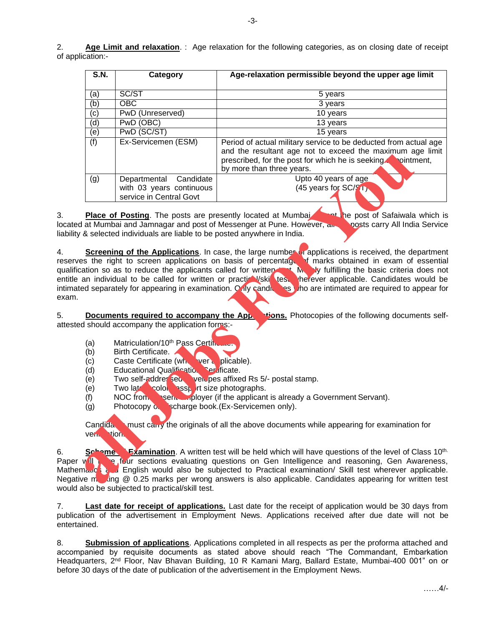2. **Age Limit and relaxation**. : Age relaxation for the following categories, as on closing date of receipt of application:-

| <b>S.N.</b> | Category                                                                      | Age-relaxation permissible beyond the upper age limit                                                                                                                                                                      |  |  |
|-------------|-------------------------------------------------------------------------------|----------------------------------------------------------------------------------------------------------------------------------------------------------------------------------------------------------------------------|--|--|
| (a)         | SC/ST                                                                         | 5 years                                                                                                                                                                                                                    |  |  |
| (b)         | OBC.                                                                          | 3 years                                                                                                                                                                                                                    |  |  |
| (c)         | PwD (Unreserved)                                                              | 10 years                                                                                                                                                                                                                   |  |  |
| (d)         | PwD (OBC)                                                                     | 13 years                                                                                                                                                                                                                   |  |  |
| (e)         | PwD (SC/ST)                                                                   | 15 years                                                                                                                                                                                                                   |  |  |
| (f)         | Ex-Servicemen (ESM)                                                           | Period of actual military service to be deducted from actual age<br>and the resultant age not to exceed the maximum age limit<br>prescribed, for the post for which he is seeking. pointment,<br>by more than three years. |  |  |
| (g)         | Departmental Candidate<br>with 03 years continuous<br>service in Central Govt | Upto 40 years of age<br>$(45 \text{ years for SC}/\frac{9}{1})$                                                                                                                                                            |  |  |

3. **Place of Posting**. The posts are presently located at Mumbain the post of Safaiwala which is located at Mumbai and Jamnagar and post of Messenger at Pune. However, all posts carry All India Service liability & selected individuals are liable to be posted anywhere in India.

4. **Screening of the Applications**. In case, the large number or applications is received, the department reserves the right to screen applications on basis of percentage of marks obtained in exam of essential qualification so as to reduce the applicants called for written test. Merely fulfilling the basic criteria does not entitle an individual to be called for written or practical/skill test wherever applicable. Candidates would be intimated separately for appearing in examination. Only candidates y ho are intimated are required to appear for exam. **all the substantine in the angle of the particular interests of the particle of the state of the state of the state of the state of the state of the state of the state of the state of the state of the state of the state o** 

5. **Documents required to accompany the Applications.** Photocopies of the following documents selfattested should accompany the application forms:-

- (a) Matriculation/10<sup>th</sup> Pass Certificate
- (b) Birth Certificate.
- (c) Caste Certificate (where plicable).
- $(d)$  Educational Qualification Certificate.
- (e) Two self-addressed velopes affixed Rs 5/- postal stamp.
- $(e)$  Two late color passport size photographs.
- $($ f) NOC from sent employer (if the applicant is already a Government Servant).
- (g) Photocopy  $\delta$ , scharge book. (Ex-Servicemen only).

Candida must carry the originals of all the above documents while appearing for examination for verification.

6. **Schame Examination**. A written test will be held which will have questions of the level of Class 10<sup>th.</sup> Paper will have four sections evaluating questions on Gen Intelligence and reasoning, Gen Awareness, Mathemand and English would also be subjected to Practical examination/ Skill test wherever applicable. Negative marking  $@$  0.25 marks per wrong answers is also applicable. Candidates appearing for written test would also be subjected to practical/skill test.

7. **Last date for receipt of applications.** Last date for the receipt of application would be 30 days from publication of the advertisement in Employment News. Applications received after due date will not be entertained.

8. **Submission of applications**. Applications completed in all respects as per the proforma attached and accompanied by requisite documents as stated above should reach "The Commandant, Embarkation Headquarters, 2<sup>nd</sup> Floor, Nav Bhavan Building, 10 R Kamani Marg, Ballard Estate, Mumbai-400 001" on or before 30 days of the date of publication of the advertisement in the Employment News.